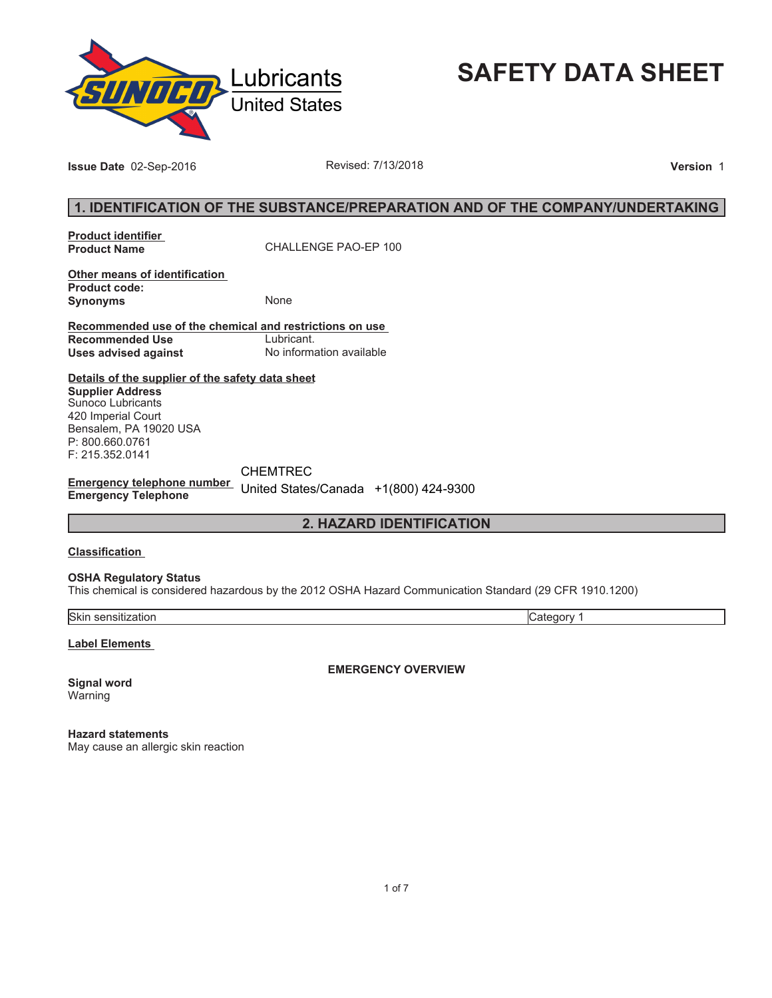

**SAFETY DATA SHEET**

**Issue Date** 02-Sep-2016 **Revised: 7/13/2018 Version** 1

## **1. IDENTIFICATION OF THE SUBSTANCE/PREPARATION AND OF THE COMPANY/UNDERTAKING**

**Product identifier** 

**Product Name** CHALLENGE PAO-EP 100

**Other means of identification Product code: Synonyms** None

**Recommended use of the chemical and restrictions on use Recommended Use<br>Uses advised against** 

**Uses advised against** No information available

**Details of the supplier of the safety data sheet Supplier Address** Sunoco Lubricants 420 Imperial Court Bensalem, PA 19020 USA P: 800.660.0761

**Emergency telephone number Emergency Telephone** United States/Canada +1(800) 424-9300CHEMTREC

**2. HAZARD IDENTIFICATION**

#### **Classification**

F: 215.352.0141

**OSHA Regulatory Status**

This chemical is considered hazardous by the 2012 OSHA Hazard Communication Standard (29 CFR 1910.1200)

Skin sensitization Category 1

**Label Elements** 

**Signal word** Warning

**EMERGENCY OVERVIEW**

**Hazard statements** May cause an allergic skin reaction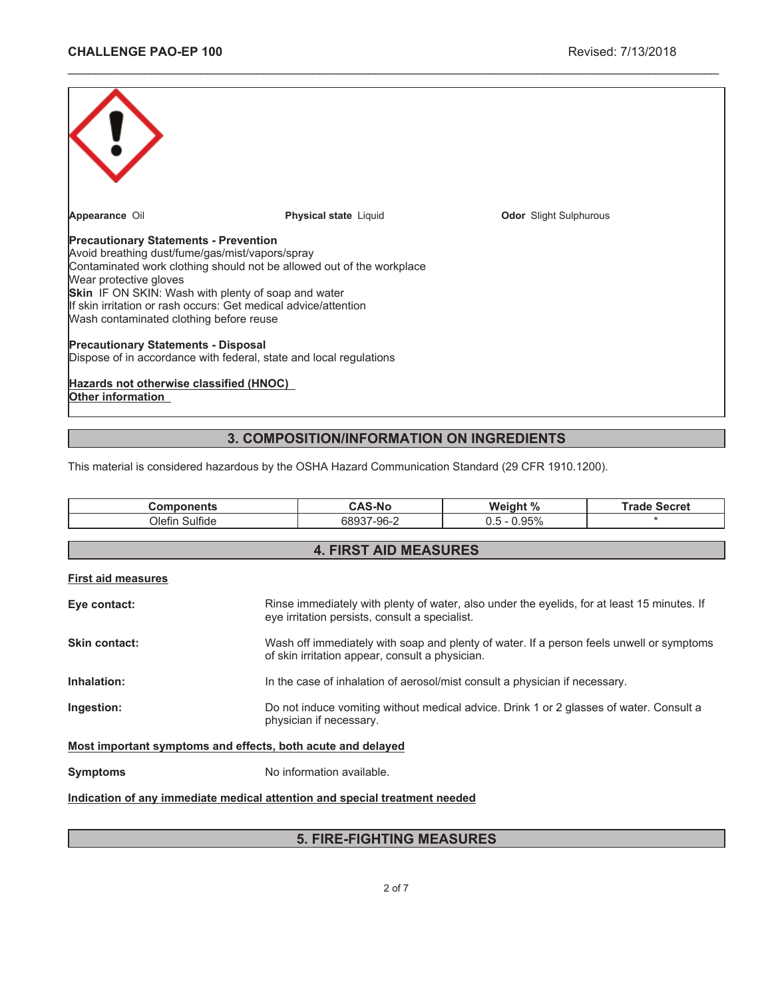| Appearance Oil                                                                                                                                                                                                                                                                                                                                                                 | <b>Physical state Liquid</b> | <b>Odor</b> Slight Sulphurous |  |  |  |
|--------------------------------------------------------------------------------------------------------------------------------------------------------------------------------------------------------------------------------------------------------------------------------------------------------------------------------------------------------------------------------|------------------------------|-------------------------------|--|--|--|
| <b>Precautionary Statements - Prevention</b><br>Avoid breathing dust/fume/gas/mist/vapors/spray<br>Contaminated work clothing should not be allowed out of the workplace<br>Wear protective gloves<br><b>Skin</b> IF ON SKIN: Wash with plenty of soap and water<br>If skin irritation or rash occurs: Get medical advice/attention<br>Wash contaminated clothing before reuse |                              |                               |  |  |  |
| <b>Precautionary Statements - Disposal</b><br>Dispose of in accordance with federal, state and local regulations                                                                                                                                                                                                                                                               |                              |                               |  |  |  |
| Hazards not otherwise classified (HNOC)<br><b>Other information</b>                                                                                                                                                                                                                                                                                                            |                              |                               |  |  |  |

\_\_\_\_\_\_\_\_\_\_\_\_\_\_\_\_\_\_\_\_\_\_\_\_\_\_\_\_\_\_\_\_\_\_\_\_\_\_\_\_\_\_\_\_\_\_\_\_\_\_\_\_\_\_\_\_\_\_\_\_\_\_\_\_\_\_\_\_\_\_\_\_\_\_\_\_\_\_\_\_\_\_\_\_\_\_\_\_\_\_\_\_\_

# **3. COMPOSITION/INFORMATION ON INGREDIENTS**

This material is considered hazardous by the OSHA Hazard Communication Standard (29 CFR 1910.1200).

| <b>Components</b>                                                          |                                                                                                                    | <b>CAS-No</b>                                                                                                                               | Weight %                                                                                    | <b>Trade Secret</b> |  |
|----------------------------------------------------------------------------|--------------------------------------------------------------------------------------------------------------------|---------------------------------------------------------------------------------------------------------------------------------------------|---------------------------------------------------------------------------------------------|---------------------|--|
| Olefin Sulfide                                                             |                                                                                                                    | 68937-96-2                                                                                                                                  | $0.5 - 0.95\%$                                                                              | $\star$             |  |
|                                                                            |                                                                                                                    |                                                                                                                                             |                                                                                             |                     |  |
| <b>4. FIRST AID MEASURES</b>                                               |                                                                                                                    |                                                                                                                                             |                                                                                             |                     |  |
| <b>First aid measures</b>                                                  |                                                                                                                    |                                                                                                                                             |                                                                                             |                     |  |
| Eye contact:                                                               |                                                                                                                    | eye irritation persists, consult a specialist.                                                                                              | Rinse immediately with plenty of water, also under the eyelids, for at least 15 minutes. If |                     |  |
| <b>Skin contact:</b>                                                       |                                                                                                                    | Wash off immediately with soap and plenty of water. If a person feels unwell or symptoms<br>of skin irritation appear, consult a physician. |                                                                                             |                     |  |
| Inhalation:                                                                | In the case of inhalation of aerosol/mist consult a physician if necessary.                                        |                                                                                                                                             |                                                                                             |                     |  |
| Ingestion:                                                                 | Do not induce vomiting without medical advice. Drink 1 or 2 glasses of water. Consult a<br>physician if necessary. |                                                                                                                                             |                                                                                             |                     |  |
| Most important symptoms and effects, both acute and delayed                |                                                                                                                    |                                                                                                                                             |                                                                                             |                     |  |
| <b>Symptoms</b>                                                            | No information available.                                                                                          |                                                                                                                                             |                                                                                             |                     |  |
| Indication of any immediate medical attention and special treatment needed |                                                                                                                    |                                                                                                                                             |                                                                                             |                     |  |

# **5. FIRE-FIGHTING MEASURES**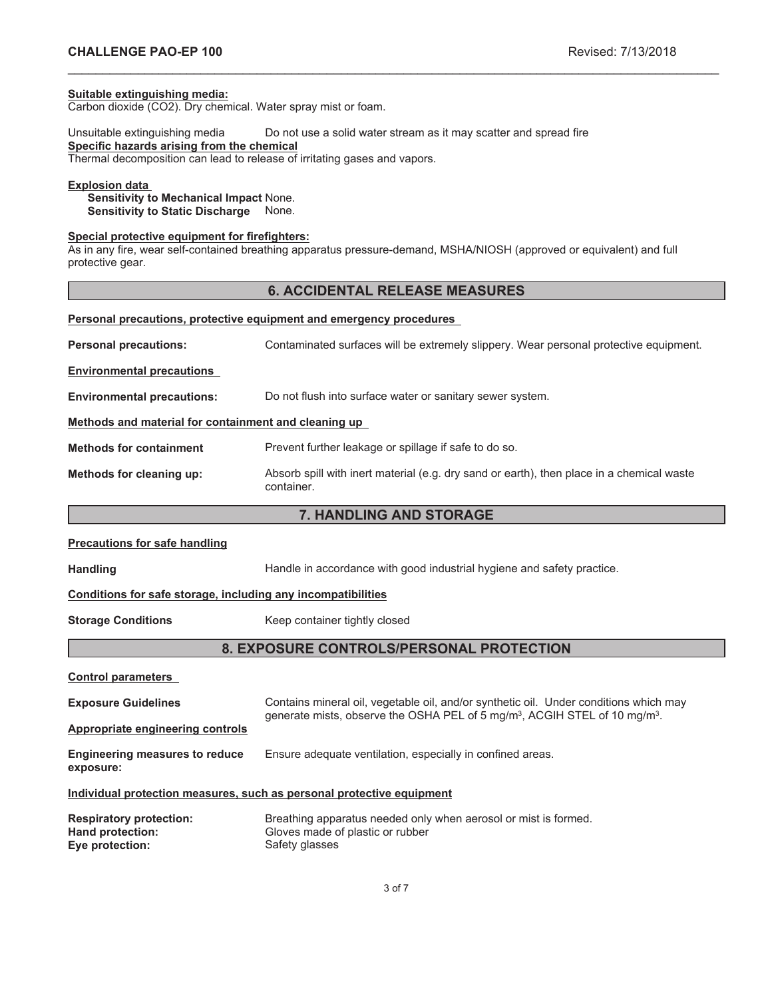#### **Suitable extinguishing media:**

Carbon dioxide (CO2). Dry chemical. Water spray mist or foam.

Unsuitable extinguishing media Do not use a solid water stream as it may scatter and spread fire **Specific hazards arising from the chemical** Thermal decomposition can lead to release of irritating gases and vapors.

#### **Explosion data**

**Sensitivity to Mechanical Impact** None. **Sensitivity to Static Discharge** None.

## **Special protective equipment for firefighters:**

As in any fire, wear self-contained breathing apparatus pressure-demand, MSHA/NIOSH (approved or equivalent) and full protective gear.

## **6. ACCIDENTAL RELEASE MEASURES**

\_\_\_\_\_\_\_\_\_\_\_\_\_\_\_\_\_\_\_\_\_\_\_\_\_\_\_\_\_\_\_\_\_\_\_\_\_\_\_\_\_\_\_\_\_\_\_\_\_\_\_\_\_\_\_\_\_\_\_\_\_\_\_\_\_\_\_\_\_\_\_\_\_\_\_\_\_\_\_\_\_\_\_\_\_\_\_\_\_\_\_\_\_

| <b>Personal precautions, protective equipment and emergency procedures</b> |                                                                                                         |  |  |
|----------------------------------------------------------------------------|---------------------------------------------------------------------------------------------------------|--|--|
| <b>Personal precautions:</b>                                               | Contaminated surfaces will be extremely slippery. Wear personal protective equipment.                   |  |  |
| <b>Environmental precautions</b>                                           |                                                                                                         |  |  |
| <b>Environmental precautions:</b>                                          | Do not flush into surface water or sanitary sewer system.                                               |  |  |
| Methods and material for containment and cleaning up                       |                                                                                                         |  |  |
| <b>Methods for containment</b>                                             | Prevent further leakage or spillage if safe to do so.                                                   |  |  |
| Methods for cleaning up:                                                   | Absorb spill with inert material (e.g. dry sand or earth), then place in a chemical waste<br>container. |  |  |

## **7. HANDLING AND STORAGE**

#### **Precautions for safe handling**

Handling **Handle in accordance with good industrial hygiene and safety practice.** 

#### **Conditions for safe storage, including any incompatibilities**

**Storage Conditions** Keep container tightly closed

## **8. EXPOSURE CONTROLS/PERSONAL PROTECTION**

**Control parameters**

| <b>Exposure Guidelines</b><br>Appropriate engineering controls        | Contains mineral oil, vegetable oil, and/or synthetic oil. Under conditions which may<br>generate mists, observe the OSHA PEL of 5 mg/m <sup>3</sup> , ACGIH STEL of 10 mg/m <sup>3</sup> . |  |  |
|-----------------------------------------------------------------------|---------------------------------------------------------------------------------------------------------------------------------------------------------------------------------------------|--|--|
| <b>Engineering measures to reduce</b><br>exposure:                    | Ensure adequate ventilation, especially in confined areas.                                                                                                                                  |  |  |
| Individual protection measures, such as personal protective equipment |                                                                                                                                                                                             |  |  |
| <b>Respiratory protection:</b>                                        | Breathing apparatus needed only when aerosol or mist is formed.                                                                                                                             |  |  |
| Hand protection:<br>Eye protection:                                   | Gloves made of plastic or rubber<br>Safety glasses                                                                                                                                          |  |  |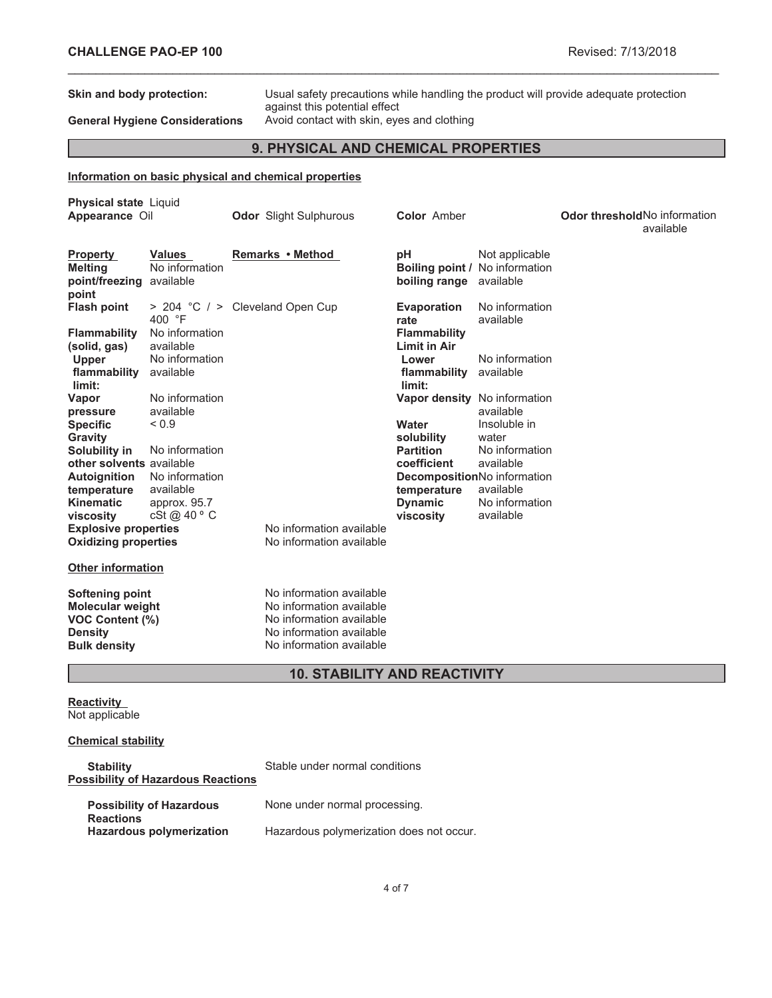**Skin and body protection:** Usual safety precautions while handling the product will provide adequate protection against this potential effect **General Hygiene Considerations** Avoid contact with skin, eyes and clothing

**9. PHYSICAL AND CHEMICAL PROPERTIES**

\_\_\_\_\_\_\_\_\_\_\_\_\_\_\_\_\_\_\_\_\_\_\_\_\_\_\_\_\_\_\_\_\_\_\_\_\_\_\_\_\_\_\_\_\_\_\_\_\_\_\_\_\_\_\_\_\_\_\_\_\_\_\_\_\_\_\_\_\_\_\_\_\_\_\_\_\_\_\_\_\_\_\_\_\_\_\_\_\_\_\_\_\_

## **Information on basic physical and chemical properties**

| <b>Physical state Liquid</b><br>Appearance Oil                                                                       |                                              | <b>Odor</b> Slight Sulphurous                                                                                                            | <b>Color Amber</b>                                           |                             | <b>Odor threshold No information</b><br>available |
|----------------------------------------------------------------------------------------------------------------------|----------------------------------------------|------------------------------------------------------------------------------------------------------------------------------------------|--------------------------------------------------------------|-----------------------------|---------------------------------------------------|
| <b>Property</b><br><b>Melting</b><br>point/freezing<br>point                                                         | <b>Values</b><br>No information<br>available | Remarks • Method                                                                                                                         | рH<br><b>Boiling point / No information</b><br>boiling range | Not applicable<br>available |                                                   |
| <b>Flash point</b>                                                                                                   | 400 °F<br>No information                     | > 204 °C / > Cleveland Open Cup                                                                                                          | <b>Evaporation</b><br>rate                                   | No information<br>available |                                                   |
| <b>Flammability</b><br>(solid, gas)<br><b>Upper</b>                                                                  | available<br>No information                  |                                                                                                                                          | <b>Flammability</b><br><b>Limit in Air</b><br>Lower          | No information              |                                                   |
| flammability<br>limit:                                                                                               | available                                    |                                                                                                                                          | flammability<br>limit:                                       | available                   |                                                   |
| Vapor<br>pressure<br><b>Specific</b>                                                                                 | No information<br>available<br>${}_{0.9}$    |                                                                                                                                          | Vapor density No information<br>Water                        | available<br>Insoluble in   |                                                   |
| Gravity<br>Solubility in                                                                                             | No information                               |                                                                                                                                          | solubility<br><b>Partition</b>                               | water<br>No information     |                                                   |
| other solvents available<br><b>Autoignition</b><br>temperature                                                       | No information<br>available                  |                                                                                                                                          | coefficient<br>DecompositionNo information<br>temperature    | available<br>available      |                                                   |
| <b>Kinematic</b><br>viscosity                                                                                        | approx. 95.7<br>cSt@40°C                     |                                                                                                                                          | <b>Dynamic</b><br>viscosity                                  | No information<br>available |                                                   |
| <b>Explosive properties</b><br><b>Oxidizing properties</b>                                                           |                                              | No information available<br>No information available                                                                                     |                                                              |                             |                                                   |
| <b>Other information</b>                                                                                             |                                              |                                                                                                                                          |                                                              |                             |                                                   |
| <b>Softening point</b><br><b>Molecular weight</b><br><b>VOC Content (%)</b><br><b>Density</b><br><b>Bulk density</b> |                                              | No information available<br>No information available<br>No information available<br>No information available<br>No information available |                                                              |                             |                                                   |

## **10. STABILITY AND REACTIVITY**

**Reactivity** Not applicable

## **Chemical stability**

| <b>Stability</b><br><b>Possibility of Hazardous Reactions</b> | Stable under normal conditions           |
|---------------------------------------------------------------|------------------------------------------|
| <b>Possibility of Hazardous</b><br><b>Reactions</b>           | None under normal processing.            |
| <b>Hazardous polymerization</b>                               | Hazardous polymerization does not occur. |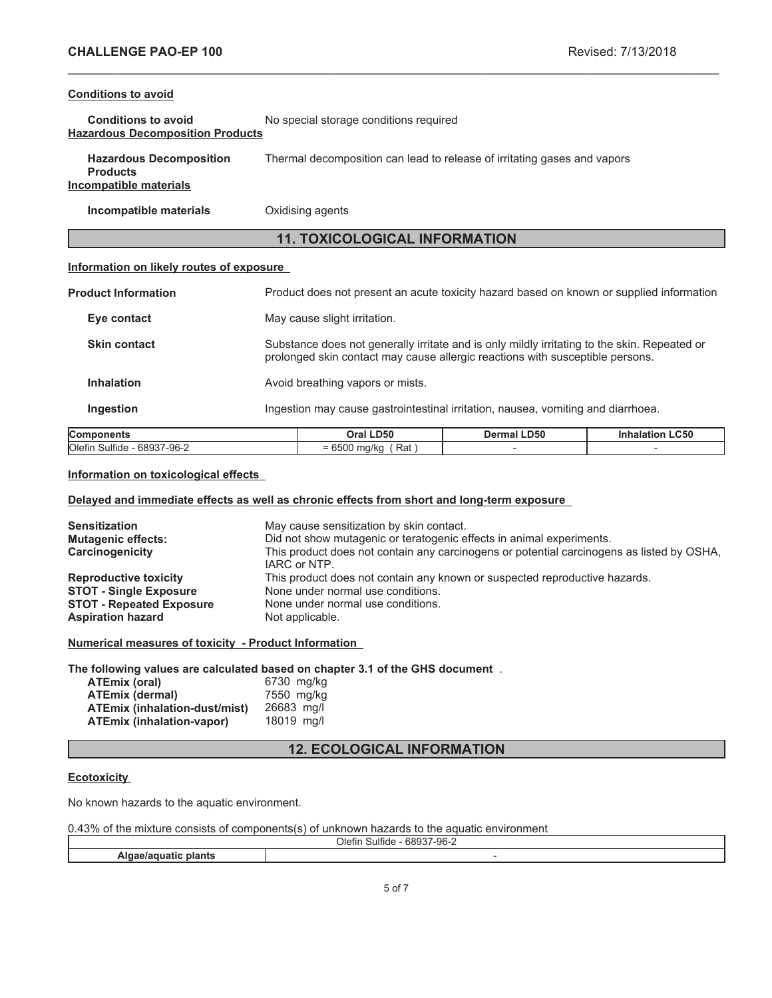## **Conditions to avoid**

| <b>Conditions to avoid</b>              | No special storage conditions required |
|-----------------------------------------|----------------------------------------|
| <b>Hazardous Decomposition Products</b> |                                        |

| <b>Hazardous Decomposition</b><br><b>Products</b> | Thermal decomposition can lead to release of irritating gases and vapors |
|---------------------------------------------------|--------------------------------------------------------------------------|
| Incompatible materials                            |                                                                          |

**Incompatible materials Oxidising agents** 

## **11. TOXICOLOGICAL INFORMATION**

\_\_\_\_\_\_\_\_\_\_\_\_\_\_\_\_\_\_\_\_\_\_\_\_\_\_\_\_\_\_\_\_\_\_\_\_\_\_\_\_\_\_\_\_\_\_\_\_\_\_\_\_\_\_\_\_\_\_\_\_\_\_\_\_\_\_\_\_\_\_\_\_\_\_\_\_\_\_\_\_\_\_\_\_\_\_\_\_\_\_\_\_\_

## **Information on likely routes of exposure**

| <b>Components</b>          | Oral LD50                                                                                                                                                                     | Dermal LD50 | <b>Inhalation LC50</b> |  |
|----------------------------|-------------------------------------------------------------------------------------------------------------------------------------------------------------------------------|-------------|------------------------|--|
| <b>Ingestion</b>           | Ingestion may cause gastrointestinal irritation, nausea, vomiting and diarrhoea.                                                                                              |             |                        |  |
| <b>Inhalation</b>          | Avoid breathing vapors or mists.                                                                                                                                              |             |                        |  |
| <b>Skin contact</b>        | Substance does not generally irritate and is only mildly irritating to the skin. Repeated or<br>prolonged skin contact may cause allergic reactions with susceptible persons. |             |                        |  |
| Eye contact                | May cause slight irritation.                                                                                                                                                  |             |                        |  |
| <b>Product Information</b> | Product does not present an acute toxicity hazard based on known or supplied information                                                                                      |             |                        |  |

| D <sub>50</sub><br>)ra | <b>D50</b> | .C50 |
|------------------------|------------|------|
| Rat<br>-<br>-          |            |      |
|                        |            |      |

## **Information on toxicological effects**

## **Delayed and immediate effects as well as chronic effects from short and long-term exposure**

| <b>Sensitization</b><br><b>Mutagenic effects:</b><br>Carcinogenicity | May cause sensitization by skin contact.<br>Did not show mutagenic or teratogenic effects in animal experiments.<br>This product does not contain any carcinogens or potential carcinogens as listed by OSHA,<br>IARC or NTP. |
|----------------------------------------------------------------------|-------------------------------------------------------------------------------------------------------------------------------------------------------------------------------------------------------------------------------|
| <b>Reproductive toxicity</b>                                         | This product does not contain any known or suspected reproductive hazards.                                                                                                                                                    |
| <b>STOT - Single Exposure</b>                                        | None under normal use conditions.                                                                                                                                                                                             |
| <b>STOT - Repeated Exposure</b>                                      | None under normal use conditions.                                                                                                                                                                                             |
| <b>Aspiration hazard</b>                                             | Not applicable.                                                                                                                                                                                                               |

**Numerical measures of toxicity - Product Information**

## **The following values are calculated based on chapter 3.1 of the GHS document** .

| ATEmix (oral)                        | 6730 mg/kg |
|--------------------------------------|------------|
| <b>ATEmix (dermal)</b>               | 7550 mg/kg |
| <b>ATEmix (inhalation-dust/mist)</b> | 26683 ma/l |
| ATEmix (inhalation-vapor)            | 18019 ma/l |

## **12. ECOLOGICAL INFORMATION**

## **Ecotoxicity**

No known hazards to the aquatic environment.

| 0.43% of the mixture consists of components(s) of unknown hazards to the aquatic environment |
|----------------------------------------------------------------------------------------------|
|----------------------------------------------------------------------------------------------|

| $\overline{\phantom{a}}$<br>- - -<br>$\sim$ $\sim$<br>ገle<br>ш<br>ъ.<br>71. |  |
|-----------------------------------------------------------------------------|--|
|                                                                             |  |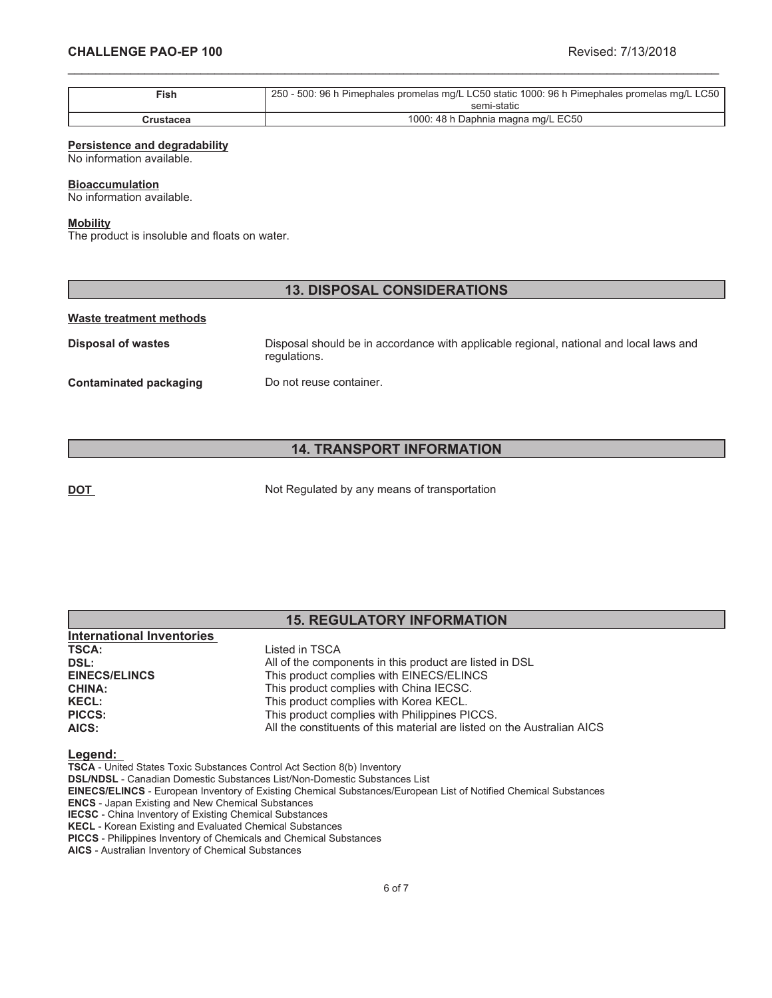| $\mathsf{Fish}$ | 250 - 500: 96 h Pimephales promelas mg/L LC50 static 1000: 96 h Pimephales promelas mg/L LC50 |
|-----------------|-----------------------------------------------------------------------------------------------|
|                 | semi-static                                                                                   |
| Crustacea       | 1000: 48 h Daphnia magna mg/L EC50                                                            |

\_\_\_\_\_\_\_\_\_\_\_\_\_\_\_\_\_\_\_\_\_\_\_\_\_\_\_\_\_\_\_\_\_\_\_\_\_\_\_\_\_\_\_\_\_\_\_\_\_\_\_\_\_\_\_\_\_\_\_\_\_\_\_\_\_\_\_\_\_\_\_\_\_\_\_\_\_\_\_\_\_\_\_\_\_\_\_\_\_\_\_\_\_

#### **Persistence and degradability**

No information available.

#### **Bioaccumulation**

No information available.

#### **Mobility**

The product is insoluble and floats on water.

## **13. DISPOSAL CONSIDERATIONS**

#### **Waste treatment methods**

**Disposal of wastes** Disposal should be in accordance with applicable regional, national and local laws and regulations. **Contaminated packaging Do not reuse container.** 

## **14. TRANSPORT INFORMATION**

**DOT** Not Regulated by any means of transportation

|                                  | <b>15. REGULATORY INFORMATION</b>                       |  |  |
|----------------------------------|---------------------------------------------------------|--|--|
| <b>International Inventories</b> |                                                         |  |  |
| <b>TSCA:</b>                     | Listed in TSCA                                          |  |  |
| DSL:                             | All of the components in this product are listed in DSL |  |  |
| <b>EINECS/ELINCS</b>             | This product complies with EINECS/ELINCS                |  |  |
| <b>CHINA:</b>                    | This product complies with China IECSC.                 |  |  |
| <b>KECL:</b>                     | This product complies with Korea KECL.                  |  |  |

#### **Legend:**

**TSCA** - United States Toxic Substances Control Act Section 8(b) Inventory

**DSL/NDSL** - Canadian Domestic Substances List/Non-Domestic Substances List

**PICCS:** This product complies with Philippines PICCS.

**EINECS/ELINCS** - European Inventory of Existing Chemical Substances/European List of Notified Chemical Substances

**AICS:** All the constituents of this material are listed on the Australian AICS

**ENCS** - Japan Existing and New Chemical Substances

**IECSC** - China Inventory of Existing Chemical Substances **KECL** - Korean Existing and Evaluated Chemical Substances

**PICCS** - Philippines Inventory of Chemicals and Chemical Substances

**AICS** - Australian Inventory of Chemical Substances